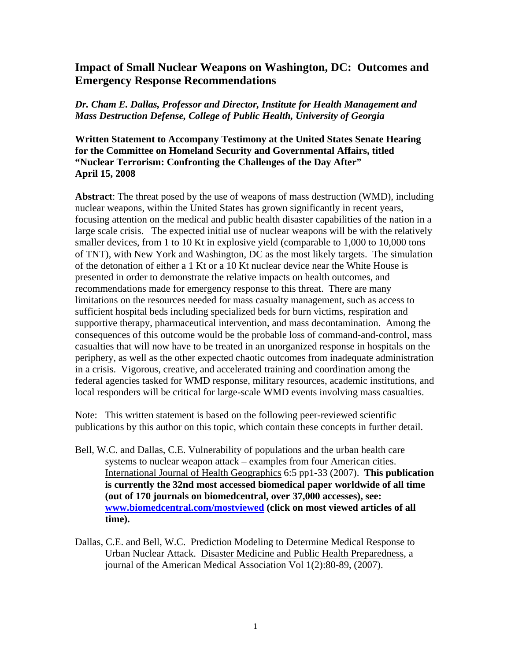# **Impact of Small Nuclear Weapons on Washington, DC: Outcomes and Emergency Response Recommendations**

# *Dr. Cham E. Dallas, Professor and Director, Institute for Health Management and Mass Destruction Defense, College of Public Health, University of Georgia*

# **Written Statement to Accompany Testimony at the United States Senate Hearing for the Committee on Homeland Security and Governmental Affairs, titled "Nuclear Terrorism: Confronting the Challenges of the Day After" April 15, 2008**

**Abstract**: The threat posed by the use of weapons of mass destruction (WMD), including nuclear weapons, within the United States has grown significantly in recent years, focusing attention on the medical and public health disaster capabilities of the nation in a large scale crisis. The expected initial use of nuclear weapons will be with the relatively smaller devices, from 1 to 10 Kt in explosive yield (comparable to 1,000 to 10,000 tons of TNT), with New York and Washington, DC as the most likely targets. The simulation of the detonation of either a 1 Kt or a 10 Kt nuclear device near the White House is presented in order to demonstrate the relative impacts on health outcomes, and recommendations made for emergency response to this threat. There are many limitations on the resources needed for mass casualty management, such as access to sufficient hospital beds including specialized beds for burn victims, respiration and supportive therapy, pharmaceutical intervention, and mass decontamination. Among the consequences of this outcome would be the probable loss of command-and-control, mass casualties that will now have to be treated in an unorganized response in hospitals on the periphery, as well as the other expected chaotic outcomes from inadequate administration in a crisis. Vigorous, creative, and accelerated training and coordination among the federal agencies tasked for WMD response, military resources, academic institutions, and local responders will be critical for large-scale WMD events involving mass casualties.

Note: This written statement is based on the following peer-reviewed scientific publications by this author on this topic, which contain these concepts in further detail.

- Bell, W.C. and Dallas, C.E. Vulnerability of populations and the urban health care systems to nuclear weapon attack – examples from four American cities. International Journal of Health Geographics 6:5 pp1-33 (2007). **This publication is currently the 32nd most accessed biomedical paper worldwide of all time (out of 170 journals on biomedcentral, over 37,000 accesses), see: [www.biomedcentral.com/mostviewed](http://www.biomedcentral.com/mostviewed) (click on most viewed articles of all time).**
- Dallas, C.E. and Bell, W.C. Prediction Modeling to Determine Medical Response to Urban Nuclear Attack. Disaster Medicine and Public Health Preparedness, a journal of the American Medical Association Vol 1(2):80-89, (2007).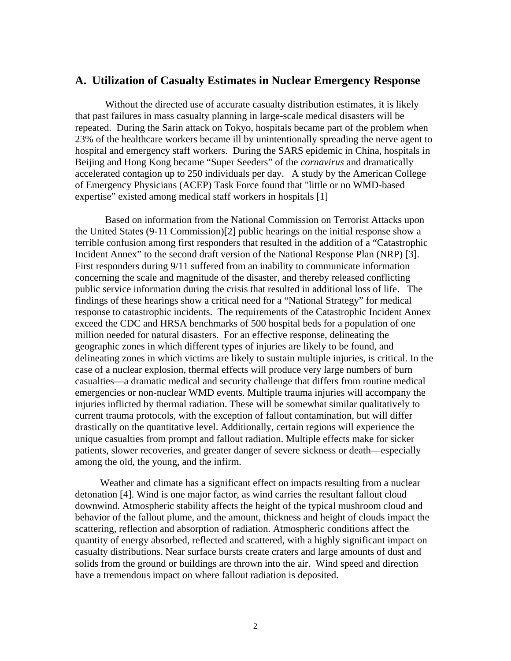## **A. Utilization of Casualty Estimates in Nuclear Emergency Response**

Without the directed use of accurate casualty distribution estimates, it is likely that past failures in mass casualty planning in large-scale medical disasters will be repeated. During the Sarin attack on Tokyo, hospitals became part of the problem when 23% of the healthcare workers became ill by unintentionally spreading the nerve agent to hospital and emergency staff workers. During the SARS epidemic in China, hospitals in Beijing and Hong Kong became "Super Seeders" of the *cornavirus* and dramatically accelerated contagion up to 250 individuals per day. A study by the American College of Emergency Physicians (ACEP) Task Force found that "little or no WMD-based expertise" existed among medical staff workers in hospitals [1]

Based on information from the National Commission on Terrorist Attacks upon the United States (9-11 Commission)[2] public hearings on the initial response show a terrible confusion among first responders that resulted in the addition of a "Catastrophic Incident Annex" to the second draft version of the National Response Plan (NRP) [3]. First responders during 9/11 suffered from an inability to communicate information concerning the scale and magnitude of the disaster, and thereby released conflicting public service information during the crisis that resulted in additional loss of life. The findings of these hearings show a critical need for a "National Strategy" for medical response to catastrophic incidents. The requirements of the Catastrophic Incident Annex exceed the CDC and HRSA benchmarks of 500 hospital beds for a population of one million needed for natural disasters. For an effective response, delineating the geographic zones in which different types of injuries are likely to be found, and delineating zones in which victims are likely to sustain multiple injuries, is critical. In the case of a nuclear explosion, thermal effects will produce very large numbers of burn casualties—a dramatic medical and security challenge that differs from routine medical emergencies or non-nuclear WMD events. Multiple trauma injuries will accompany the injuries inflicted by thermal radiation. These will be somewhat similar qualitatively to current trauma protocols, with the exception of fallout contamination, but will differ drastically on the quantitative level. Additionally, certain regions will experience the unique casualties from prompt and fallout radiation. Multiple effects make for sicker patients, slower recoveries, and greater danger of severe sickness or death—especially among the old, the young, and the infirm.

 Weather and climate has a significant effect on impacts resulting from a nuclear detonation [4]. Wind is one major factor, as wind carries the resultant fallout cloud downwind. Atmospheric stability affects the height of the typical mushroom cloud and behavior of the fallout plume, and the amount, thickness and height of clouds impact the scattering, reflection and absorption of radiation. Atmospheric conditions affect the quantity of energy absorbed, reflected and scattered, with a highly significant impact on casualty distributions. Near surface bursts create craters and large amounts of dust and solids from the ground or buildings are thrown into the air. Wind speed and direction have a tremendous impact on where fallout radiation is deposited.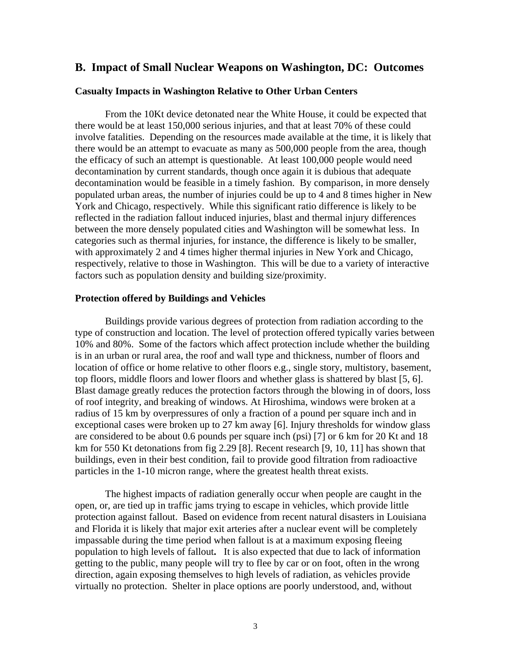# **B. Impact of Small Nuclear Weapons on Washington, DC: Outcomes**

#### **Casualty Impacts in Washington Relative to Other Urban Centers**

From the 10Kt device detonated near the White House, it could be expected that there would be at least 150,000 serious injuries, and that at least 70% of these could involve fatalities. Depending on the resources made available at the time, it is likely that there would be an attempt to evacuate as many as 500,000 people from the area, though the efficacy of such an attempt is questionable. At least 100,000 people would need decontamination by current standards, though once again it is dubious that adequate decontamination would be feasible in a timely fashion. By comparison, in more densely populated urban areas, the number of injuries could be up to 4 and 8 times higher in New York and Chicago, respectively. While this significant ratio difference is likely to be reflected in the radiation fallout induced injuries, blast and thermal injury differences between the more densely populated cities and Washington will be somewhat less. In categories such as thermal injuries, for instance, the difference is likely to be smaller, with approximately 2 and 4 times higher thermal injuries in New York and Chicago, respectively, relative to those in Washington. This will be due to a variety of interactive factors such as population density and building size/proximity.

### **Protection offered by Buildings and Vehicles**

Buildings provide various degrees of protection from radiation according to the type of construction and location. The level of protection offered typically varies between 10% and 80%. Some of the factors which affect protection include whether the building is in an urban or rural area, the roof and wall type and thickness, number of floors and location of office or home relative to other floors e.g., single story, multistory, basement, top floors, middle floors and lower floors and whether glass is shattered by blast [5, 6]. Blast damage greatly reduces the protection factors through the blowing in of doors, loss of roof integrity, and breaking of windows. At Hiroshima, windows were broken at a radius of 15 km by overpressures of only a fraction of a pound per square inch and in exceptional cases were broken up to 27 km away [6]. Injury thresholds for window glass are considered to be about 0.6 pounds per square inch (psi) [7] or 6 km for 20 Kt and 18 km for 550 Kt detonations from fig 2.29 [8]. Recent research [9, 10, 11] has shown that buildings, even in their best condition, fail to provide good filtration from radioactive particles in the 1-10 micron range, where the greatest health threat exists.

The highest impacts of radiation generally occur when people are caught in the open, or, are tied up in traffic jams trying to escape in vehicles, which provide little protection against fallout. Based on evidence from recent natural disasters in Louisiana and Florida it is likely that major exit arteries after a nuclear event will be completely impassable during the time period when fallout is at a maximum exposing fleeing population to high levels of fallout**.** It is also expected that due to lack of information getting to the public, many people will try to flee by car or on foot, often in the wrong direction, again exposing themselves to high levels of radiation, as vehicles provide virtually no protection.Shelter in place options are poorly understood, and, without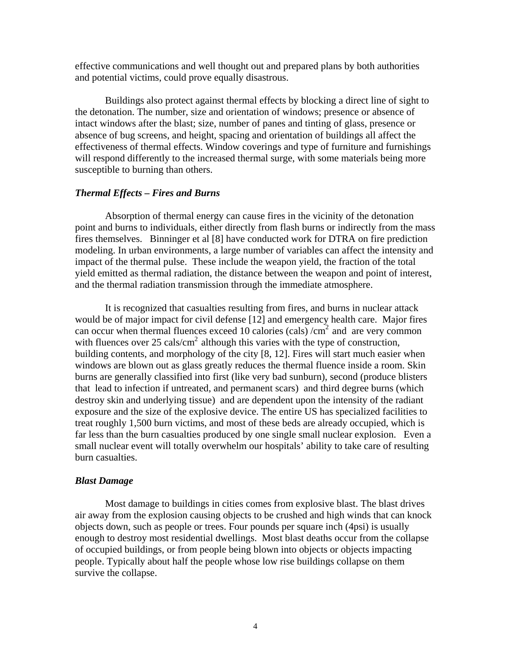effective communications and well thought out and prepared plans by both authorities and potential victims, could prove equally disastrous.

Buildings also protect against thermal effects by blocking a direct line of sight to the detonation. The number, size and orientation of windows; presence or absence of intact windows after the blast; size, number of panes and tinting of glass, presence or absence of bug screens, and height, spacing and orientation of buildings all affect the effectiveness of thermal effects. Window coverings and type of furniture and furnishings will respond differently to the increased thermal surge, with some materials being more susceptible to burning than others.

#### *Thermal Effects – Fires and Burns*

Absorption of thermal energy can cause fires in the vicinity of the detonation point and burns to individuals, either directly from flash burns or indirectly from the mass fires themselves. Binninger et al [8] have conducted work for DTRA on fire prediction modeling. In urban environments, a large number of variables can affect the intensity and impact of the thermal pulse. These include the weapon yield, the fraction of the total yield emitted as thermal radiation, the distance between the weapon and point of interest, and the thermal radiation transmission through the immediate atmosphere.

It is recognized that casualties resulting from fires, and burns in nuclear attack would be of major impact for civil defense [12] and emergency health care. Major fires can occur when thermal fluences exceed 10 calories (cals) / $\text{cm}^2$  and are very common with fluences over  $25 \text{ calls/cm}^2$  although this varies with the type of construction, building contents, and morphology of the city [8, 12]. Fires will start much easier when windows are blown out as glass greatly reduces the thermal fluence inside a room. Skin burns are generally classified into first (like very bad sunburn), second (produce blisters that lead to infection if untreated, and permanent scars) and third degree burns (which destroy skin and underlying tissue) and are dependent upon the intensity of the radiant exposure and the size of the explosive device. The entire US has specialized facilities to treat roughly 1,500 burn victims, and most of these beds are already occupied, which is far less than the burn casualties produced by one single small nuclear explosion. Even a small nuclear event will totally overwhelm our hospitals' ability to take care of resulting burn casualties.

#### *Blast Damage*

Most damage to buildings in cities comes from explosive blast. The blast drives air away from the explosion causing objects to be crushed and high winds that can knock objects down, such as people or trees. Four pounds per square inch (4psi) is usually enough to destroy most residential dwellings. Most blast deaths occur from the collapse of occupied buildings, or from people being blown into objects or objects impacting people. Typically about half the people whose low rise buildings collapse on them survive the collapse.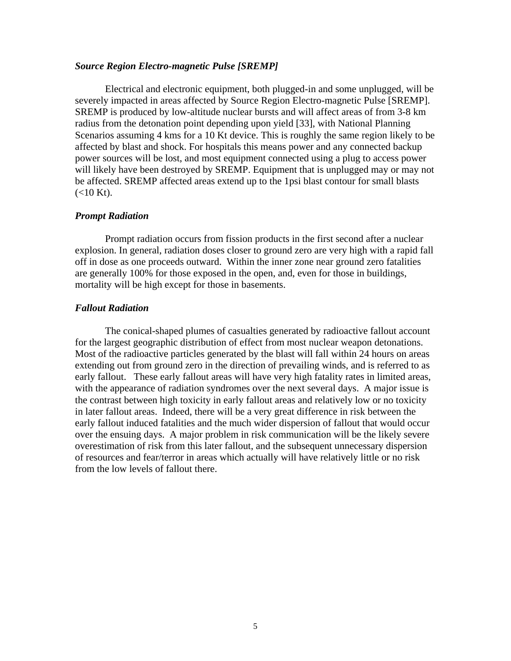#### *Source Region Electro-magnetic Pulse [SREMP]*

Electrical and electronic equipment, both plugged-in and some unplugged, will be severely impacted in areas affected by Source Region Electro-magnetic Pulse [SREMP]. SREMP is produced by low-altitude nuclear bursts and will affect areas of from 3-8 km radius from the detonation point depending upon yield [33], with National Planning Scenarios assuming 4 kms for a 10 Kt device. This is roughly the same region likely to be affected by blast and shock. For hospitals this means power and any connected backup power sources will be lost, and most equipment connected using a plug to access power will likely have been destroyed by SREMP. Equipment that is unplugged may or may not be affected. SREMP affected areas extend up to the 1psi blast contour for small blasts  $(<10$  Kt).

#### *Prompt Radiation*

Prompt radiation occurs from fission products in the first second after a nuclear explosion. In general, radiation doses closer to ground zero are very high with a rapid fall off in dose as one proceeds outward. Within the inner zone near ground zero fatalities are generally 100% for those exposed in the open, and, even for those in buildings, mortality will be high except for those in basements.

## *Fallout Radiation*

The conical-shaped plumes of casualties generated by radioactive fallout account for the largest geographic distribution of effect from most nuclear weapon detonations. Most of the radioactive particles generated by the blast will fall within 24 hours on areas extending out from ground zero in the direction of prevailing winds, and is referred to as early fallout. These early fallout areas will have very high fatality rates in limited areas, with the appearance of radiation syndromes over the next several days. A major issue is the contrast between high toxicity in early fallout areas and relatively low or no toxicity in later fallout areas. Indeed, there will be a very great difference in risk between the early fallout induced fatalities and the much wider dispersion of fallout that would occur over the ensuing days. A major problem in risk communication will be the likely severe overestimation of risk from this later fallout, and the subsequent unnecessary dispersion of resources and fear/terror in areas which actually will have relatively little or no risk from the low levels of fallout there.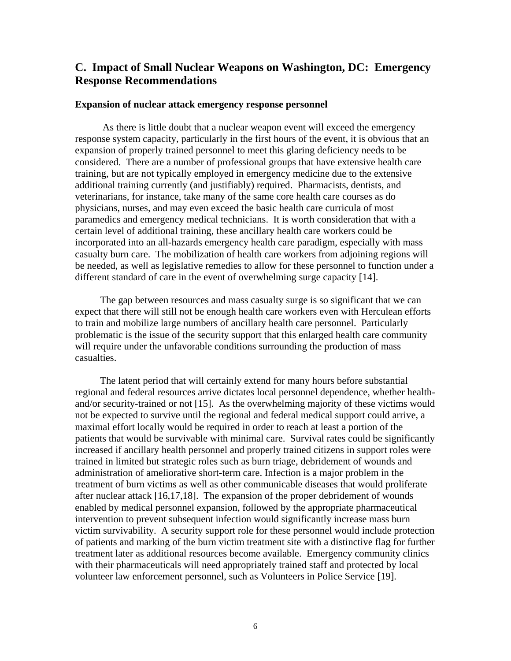# **C. Impact of Small Nuclear Weapons on Washington, DC: Emergency Response Recommendations**

#### **Expansion of nuclear attack emergency response personnel**

 As there is little doubt that a nuclear weapon event will exceed the emergency response system capacity, particularly in the first hours of the event, it is obvious that an expansion of properly trained personnel to meet this glaring deficiency needs to be considered. There are a number of professional groups that have extensive health care training, but are not typically employed in emergency medicine due to the extensive additional training currently (and justifiably) required. Pharmacists, dentists, and veterinarians, for instance, take many of the same core health care courses as do physicians, nurses, and may even exceed the basic health care curricula of most paramedics and emergency medical technicians. It is worth consideration that with a certain level of additional training, these ancillary health care workers could be incorporated into an all-hazards emergency health care paradigm, especially with mass casualty burn care. The mobilization of health care workers from adjoining regions will be needed, as well as legislative remedies to allow for these personnel to function under a different standard of care in the event of overwhelming surge capacity [14].

 The gap between resources and mass casualty surge is so significant that we can expect that there will still not be enough health care workers even with Herculean efforts to train and mobilize large numbers of ancillary health care personnel. Particularly problematic is the issue of the security support that this enlarged health care community will require under the unfavorable conditions surrounding the production of mass casualties.

 The latent period that will certainly extend for many hours before substantial regional and federal resources arrive dictates local personnel dependence, whether healthand/or security-trained or not [15]. As the overwhelming majority of these victims would not be expected to survive until the regional and federal medical support could arrive, a maximal effort locally would be required in order to reach at least a portion of the patients that would be survivable with minimal care. Survival rates could be significantly increased if ancillary health personnel and properly trained citizens in support roles were trained in limited but strategic roles such as burn triage, debridement of wounds and administration of ameliorative short-term care. Infection is a major problem in the treatment of burn victims as well as other communicable diseases that would proliferate after nuclear attack [16,17,18]. The expansion of the proper debridement of wounds enabled by medical personnel expansion, followed by the appropriate pharmaceutical intervention to prevent subsequent infection would significantly increase mass burn victim survivability. A security support role for these personnel would include protection of patients and marking of the burn victim treatment site with a distinctive flag for further treatment later as additional resources become available. Emergency community clinics with their pharmaceuticals will need appropriately trained staff and protected by local volunteer law enforcement personnel, such as Volunteers in Police Service [19].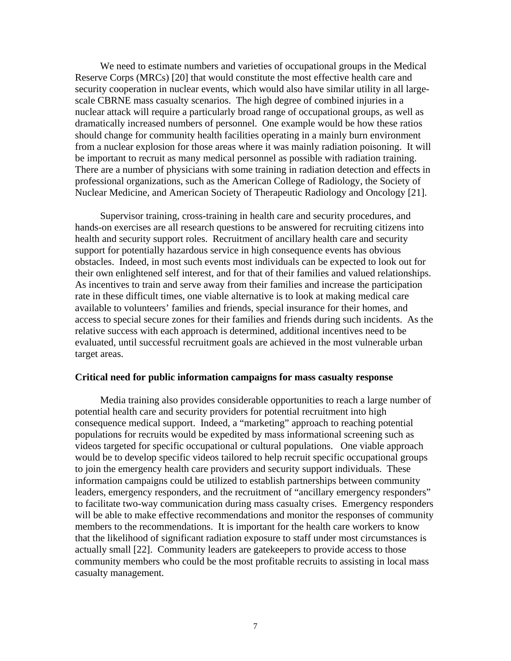We need to estimate numbers and varieties of occupational groups in the Medical Reserve Corps (MRCs) [20] that would constitute the most effective health care and security cooperation in nuclear events, which would also have similar utility in all largescale CBRNE mass casualty scenarios. The high degree of combined injuries in a nuclear attack will require a particularly broad range of occupational groups, as well as dramatically increased numbers of personnel. One example would be how these ratios should change for community health facilities operating in a mainly burn environment from a nuclear explosion for those areas where it was mainly radiation poisoning. It will be important to recruit as many medical personnel as possible with radiation training. There are a number of physicians with some training in radiation detection and effects in professional organizations, such as the American College of Radiology, the Society of Nuclear Medicine, and American Society of Therapeutic Radiology and Oncology [21].

 Supervisor training, cross-training in health care and security procedures, and hands-on exercises are all research questions to be answered for recruiting citizens into health and security support roles. Recruitment of ancillary health care and security support for potentially hazardous service in high consequence events has obvious obstacles. Indeed, in most such events most individuals can be expected to look out for their own enlightened self interest, and for that of their families and valued relationships. As incentives to train and serve away from their families and increase the participation rate in these difficult times, one viable alternative is to look at making medical care available to volunteers' families and friends, special insurance for their homes, and access to special secure zones for their families and friends during such incidents. As the relative success with each approach is determined, additional incentives need to be evaluated, until successful recruitment goals are achieved in the most vulnerable urban target areas.

#### **Critical need for public information campaigns for mass casualty response**

Media training also provides considerable opportunities to reach a large number of potential health care and security providers for potential recruitment into high consequence medical support. Indeed, a "marketing" approach to reaching potential populations for recruits would be expedited by mass informational screening such as videos targeted for specific occupational or cultural populations. One viable approach would be to develop specific videos tailored to help recruit specific occupational groups to join the emergency health care providers and security support individuals. These information campaigns could be utilized to establish partnerships between community leaders, emergency responders, and the recruitment of "ancillary emergency responders" to facilitate two-way communication during mass casualty crises. Emergency responders will be able to make effective recommendations and monitor the responses of community members to the recommendations. It is important for the health care workers to know that the likelihood of significant radiation exposure to staff under most circumstances is actually small [22]. Community leaders are gatekeepers to provide access to those community members who could be the most profitable recruits to assisting in local mass casualty management.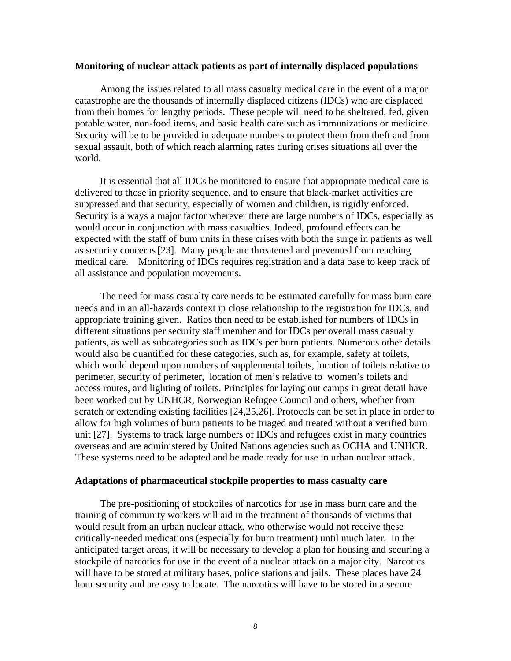#### **Monitoring of nuclear attack patients as part of internally displaced populations**

Among the issues related to all mass casualty medical care in the event of a major catastrophe are the thousands of internally displaced citizens (IDCs) who are displaced from their homes for lengthy periods. These people will need to be sheltered, fed, given potable water, non-food items, and basic health care such as immunizations or medicine. Security will be to be provided in adequate numbers to protect them from theft and from sexual assault, both of which reach alarming rates during crises situations all over the world.

 It is essential that all IDCs be monitored to ensure that appropriate medical care is delivered to those in priority sequence, and to ensure that black-market activities are suppressed and that security, especially of women and children, is rigidly enforced. Security is always a major factor wherever there are large numbers of IDCs, especially as would occur in conjunction with mass casualties. Indeed, profound effects can be expected with the staff of burn units in these crises with both the surge in patients as well as security concerns[23]. Many people are threatened and prevented from reaching medical care. Monitoring of IDCs requires registration and a data base to keep track of all assistance and population movements.

 The need for mass casualty care needs to be estimated carefully for mass burn care needs and in an all-hazards context in close relationship to the registration for IDCs, and appropriate training given. Ratios then need to be established for numbers of IDCs in different situations per security staff member and for IDCs per overall mass casualty patients, as well as subcategories such as IDCs per burn patients. Numerous other details would also be quantified for these categories, such as, for example, safety at toilets, which would depend upon numbers of supplemental toilets, location of toilets relative to perimeter, security of perimeter, location of men's relative to women's toilets and access routes, and lighting of toilets. Principles for laying out camps in great detail have been worked out by UNHCR, Norwegian Refugee Council and others, whether from scratch or extending existing facilities [24,25,26]. Protocols can be set in place in order to allow for high volumes of burn patients to be triaged and treated without a verified burn unit [27]. Systems to track large numbers of IDCs and refugees exist in many countries overseas and are administered by United Nations agencies such as OCHA and UNHCR. These systems need to be adapted and be made ready for use in urban nuclear attack.

#### **Adaptations of pharmaceutical stockpile properties to mass casualty care**

 The pre-positioning of stockpiles of narcotics for use in mass burn care and the training of community workers will aid in the treatment of thousands of victims that would result from an urban nuclear attack, who otherwise would not receive these critically-needed medications (especially for burn treatment) until much later. In the anticipated target areas, it will be necessary to develop a plan for housing and securing a stockpile of narcotics for use in the event of a nuclear attack on a major city. Narcotics will have to be stored at military bases, police stations and jails. These places have 24 hour security and are easy to locate. The narcotics will have to be stored in a secure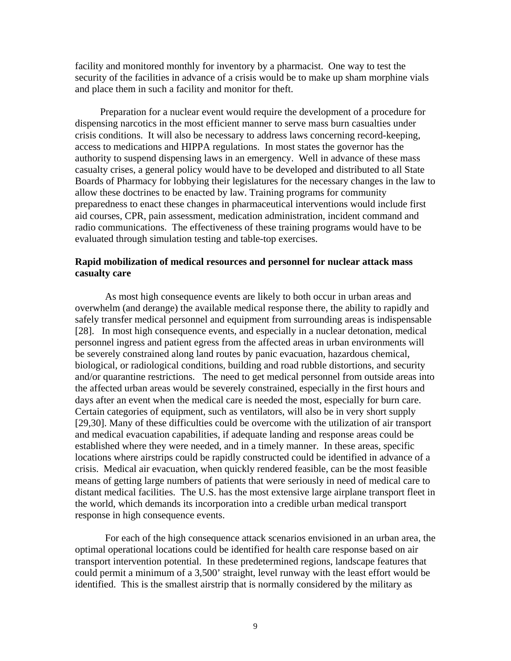facility and monitored monthly for inventory by a pharmacist. One way to test the security of the facilities in advance of a crisis would be to make up sham morphine vials and place them in such a facility and monitor for theft.

 Preparation for a nuclear event would require the development of a procedure for dispensing narcotics in the most efficient manner to serve mass burn casualties under crisis conditions. It will also be necessary to address laws concerning record-keeping, access to medications and HIPPA regulations. In most states the governor has the authority to suspend dispensing laws in an emergency. Well in advance of these mass casualty crises, a general policy would have to be developed and distributed to all State Boards of Pharmacy for lobbying their legislatures for the necessary changes in the law to allow these doctrines to be enacted by law. Training programs for community preparedness to enact these changes in pharmaceutical interventions would include first aid courses, CPR, pain assessment, medication administration, incident command and radio communications. The effectiveness of these training programs would have to be evaluated through simulation testing and table-top exercises.

# **Rapid mobilization of medical resources and personnel for nuclear attack mass casualty care**

 As most high consequence events are likely to both occur in urban areas and overwhelm (and derange) the available medical response there, the ability to rapidly and safely transfer medical personnel and equipment from surrounding areas is indispensable [28]. In most high consequence events, and especially in a nuclear detonation, medical personnel ingress and patient egress from the affected areas in urban environments will be severely constrained along land routes by panic evacuation, hazardous chemical, biological, or radiological conditions, building and road rubble distortions, and security and/or quarantine restrictions. The need to get medical personnel from outside areas into the affected urban areas would be severely constrained, especially in the first hours and days after an event when the medical care is needed the most, especially for burn care. Certain categories of equipment, such as ventilators, will also be in very short supply [29,30]. Many of these difficulties could be overcome with the utilization of air transport and medical evacuation capabilities, if adequate landing and response areas could be established where they were needed, and in a timely manner. In these areas, specific locations where airstrips could be rapidly constructed could be identified in advance of a crisis. Medical air evacuation, when quickly rendered feasible, can be the most feasible means of getting large numbers of patients that were seriously in need of medical care to distant medical facilities. The U.S. has the most extensive large airplane transport fleet in the world, which demands its incorporation into a credible urban medical transport response in high consequence events.

 For each of the high consequence attack scenarios envisioned in an urban area, the optimal operational locations could be identified for health care response based on air transport intervention potential. In these predetermined regions, landscape features that could permit a minimum of a 3,500' straight, level runway with the least effort would be identified. This is the smallest airstrip that is normally considered by the military as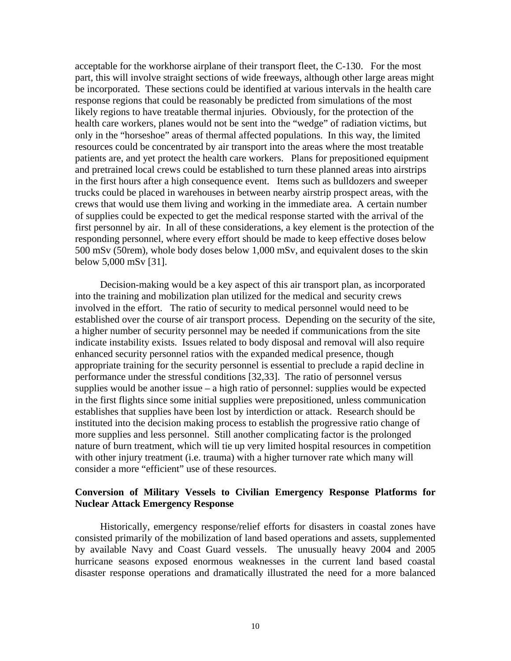acceptable for the workhorse airplane of their transport fleet, the C-130. For the most part, this will involve straight sections of wide freeways, although other large areas might be incorporated. These sections could be identified at various intervals in the health care response regions that could be reasonably be predicted from simulations of the most likely regions to have treatable thermal injuries. Obviously, for the protection of the health care workers, planes would not be sent into the "wedge" of radiation victims, but only in the "horseshoe" areas of thermal affected populations. In this way, the limited resources could be concentrated by air transport into the areas where the most treatable patients are, and yet protect the health care workers. Plans for prepositioned equipment and pretrained local crews could be established to turn these planned areas into airstrips in the first hours after a high consequence event. Items such as bulldozers and sweeper trucks could be placed in warehouses in between nearby airstrip prospect areas, with the crews that would use them living and working in the immediate area. A certain number of supplies could be expected to get the medical response started with the arrival of the first personnel by air. In all of these considerations, a key element is the protection of the responding personnel, where every effort should be made to keep effective doses below 500 mSv (50rem), whole body doses below 1,000 mSv, and equivalent doses to the skin below 5,000 mSv [31].

 Decision-making would be a key aspect of this air transport plan, as incorporated into the training and mobilization plan utilized for the medical and security crews involved in the effort. The ratio of security to medical personnel would need to be established over the course of air transport process. Depending on the security of the site, a higher number of security personnel may be needed if communications from the site indicate instability exists. Issues related to body disposal and removal will also require enhanced security personnel ratios with the expanded medical presence, though appropriate training for the security personnel is essential to preclude a rapid decline in performance under the stressful conditions [32,33]. The ratio of personnel versus supplies would be another issue  $-$  a high ratio of personnel: supplies would be expected in the first flights since some initial supplies were prepositioned, unless communication establishes that supplies have been lost by interdiction or attack. Research should be instituted into the decision making process to establish the progressive ratio change of more supplies and less personnel. Still another complicating factor is the prolonged nature of burn treatment, which will tie up very limited hospital resources in competition with other injury treatment (i.e. trauma) with a higher turnover rate which many will consider a more "efficient" use of these resources.

# **Conversion of Military Vessels to Civilian Emergency Response Platforms for Nuclear Attack Emergency Response**

 Historically, emergency response/relief efforts for disasters in coastal zones have consisted primarily of the mobilization of land based operations and assets, supplemented by available Navy and Coast Guard vessels. The unusually heavy 2004 and 2005 hurricane seasons exposed enormous weaknesses in the current land based coastal disaster response operations and dramatically illustrated the need for a more balanced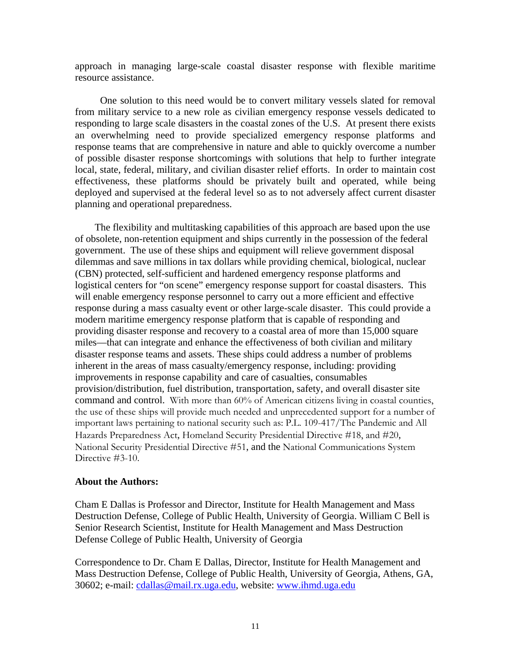approach in managing large-scale coastal disaster response with flexible maritime resource assistance.

 One solution to this need would be to convert military vessels slated for removal from military service to a new role as civilian emergency response vessels dedicated to responding to large scale disasters in the coastal zones of the U.S. At present there exists an overwhelming need to provide specialized emergency response platforms and response teams that are comprehensive in nature and able to quickly overcome a number of possible disaster response shortcomings with solutions that help to further integrate local, state, federal, military, and civilian disaster relief efforts. In order to maintain cost effectiveness, these platforms should be privately built and operated, while being deployed and supervised at the federal level so as to not adversely affect current disaster planning and operational preparedness.

 The flexibility and multitasking capabilities of this approach are based upon the use of obsolete, non-retention equipment and ships currently in the possession of the federal government. The use of these ships and equipment will relieve government disposal dilemmas and save millions in tax dollars while providing chemical, biological, nuclear (CBN) protected, self-sufficient and hardened emergency response platforms and logistical centers for "on scene" emergency response support for coastal disasters. This will enable emergency response personnel to carry out a more efficient and effective response during a mass casualty event or other large-scale disaster. This could provide a modern maritime emergency response platform that is capable of responding and providing disaster response and recovery to a coastal area of more than 15,000 square miles—that can integrate and enhance the effectiveness of both civilian and military disaster response teams and assets. These ships could address a number of problems inherent in the areas of mass casualty/emergency response, including: providing improvements in response capability and care of casualties, consumables provision/distribution, fuel distribution, transportation, safety, and overall disaster site command and control. With more than 60% of American citizens living in coastal counties, the use of these ships will provide much needed and unprecedented support for a number of important laws pertaining to national security such as: P.L. 109-417/The Pandemic and All Hazards Preparedness Act, Homeland Security Presidential Directive #18, and #20, National Security Presidential Directive #51, and the National Communications System Directive #3-10.

#### **About the Authors:**

Cham E Dallas is Professor and Director, Institute for Health Management and Mass Destruction Defense, College of Public Health, University of Georgia. William C Bell is Senior Research Scientist, Institute for Health Management and Mass Destruction Defense College of Public Health, University of Georgia

Correspondence to Dr. Cham E Dallas, Director, Institute for Health Management and Mass Destruction Defense, College of Public Health, University of Georgia, Athens, GA, 30602; e-mail: [cdallas@mail.rx.uga.edu,](mailto:cdallas@mail.rx.uga.edu) website: [www.ihmd.uga.edu](http://www.ihmd.uga.edu/)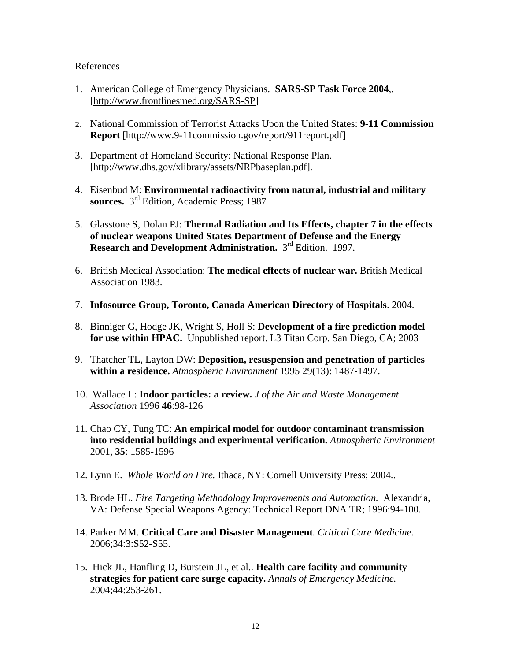# References

- 1. American College of Emergency Physicians. **SARS-SP Task Force 2004**,. [http://www.frontlinesmed.org/SARS-SP]
- 2. National Commission of Terrorist Attacks Upon the United States: **9-11 Commission Report** [http://www.9-11commission.gov/report/911report.pdf]
- 3. Department of Homeland Security: National Response Plan. [http://www.dhs.gov/xlibrary/assets/NRPbaseplan.pdf].
- 4. Eisenbud M: **Environmental radioactivity from natural, industrial and military sources.** 3rd Edition, Academic Press; 1987
- 5. Glasstone S, Dolan PJ: **Thermal Radiation and Its Effects, chapter 7 in the effects of nuclear weapons United States Department of Defense and the Energy Research and Development Administration.** 3<sup>rd</sup> Edition. 1997.
- 6. British Medical Association: **The medical effects of nuclear war.** British Medical Association 1983.
- 7. **Infosource Group, Toronto, Canada American Directory of Hospitals**. 2004.
- 8. Binniger G, Hodge JK, Wright S, Holl S: **Development of a fire prediction model for use within HPAC.** Unpublished report. L3 Titan Corp. San Diego, CA; 2003
- 9. Thatcher TL, Layton DW: **Deposition, resuspension and penetration of particles within a residence.** *Atmospheric Environment* 1995 29(13): 1487-1497.
- 10. Wallace L: **Indoor particles: a review.** *J of the Air and Waste Management Association* 1996 **46**:98-126
- 11. Chao CY, Tung TC: **An empirical model for outdoor contaminant transmission into residential buildings and experimental verification.** *Atmospheric Environment* 2001, **35**: 1585-1596
- 12. Lynn E. *Whole World on Fire.* Ithaca, NY: Cornell University Press; 2004..
- 13. Brode HL. *Fire Targeting Methodology Improvements and Automation.* Alexandria, VA: Defense Special Weapons Agency: Technical Report DNA TR; 1996:94-100.
- 14. Parker MM. **Critical Care and Disaster Management***. Critical Care Medicine.* 2006;34:3:S52-S55.
- 15. Hick JL, Hanfling D, Burstein JL, et al.. **Health care facility and community strategies for patient care surge capacity.** *Annals of Emergency Medicine.* 2004;44:253-261.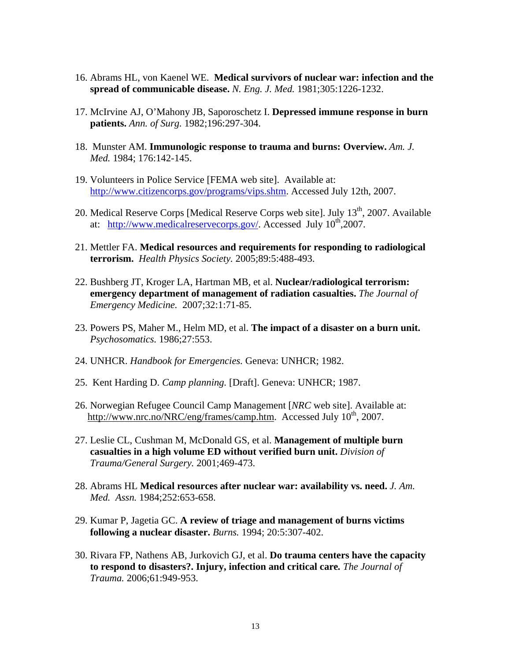- 16. Abrams HL, von Kaenel WE. **Medical survivors of nuclear war: infection and the spread of communicable disease.** *N. Eng. J. Med.* 1981;305:1226-1232.
- 17. McIrvine AJ, O'Mahony JB, Saporoschetz I. **Depressed immune response in burn patients.** *Ann. of Surg.* 1982;196:297-304.
- 18. Munster AM. **Immunologic response to trauma and burns: Overview.** *Am. J. Med.* 1984; 176:142-145.
- 19. Volunteers in Police Service [FEMA web site]. Available at: [http://www.citizencorps.gov/programs/vips.shtm.](http://www.citizencorps.gov/programs/vips.shtm) Accessed July 12th, 2007.
- 20. Medical Reserve Corps [Medical Reserve Corps web site]. July 13<sup>th</sup>, 2007. Available at: [http://www.medicalreservecorps.gov/.](http://www.medicalreservecorps.gov/) Accessed July  $10^{th}$ ,2007.
- 21. Mettler FA. **Medical resources and requirements for responding to radiological terrorism.** *Health Physics Society.* 2005;89:5:488-493.
- 22. Bushberg JT, Kroger LA, Hartman MB, et al. **Nuclear/radiological terrorism: emergency department of management of radiation casualties.** *The Journal of Emergency Medicine.* 2007;32:1:71-85.
- 23. Powers PS, Maher M., Helm MD, et al. **The impact of a disaster on a burn unit.**  *Psychosomatics.* 1986;27:553.
- 24. UNHCR. *Handbook for Emergencies.* Geneva: UNHCR; 1982.
- 25. Kent Harding D. *Camp planning.* [Draft]. Geneva: UNHCR; 1987.
- 26. Norwegian Refugee Council Camp Management [*NRC* web site]. Available at: [http://www.nrc.no/NRC/eng/frames/camp.htm.](http://www.nrc.no/NRC/eng/frames/camp.htm) Accessed July  $10^{th}$ , 2007.
- 27. Leslie CL, Cushman M, McDonald GS, et al. **Management of multiple burn casualties in a high volume ED without verified burn unit.** *Division of Trauma/General Surgery.* 2001;469-473.
- 28. Abrams HL **Medical resources after nuclear war: availability vs. need.** *J. Am. Med. Assn.* 1984;252:653-658.
- 29. Kumar P, Jagetia GC. **A review of triage and management of burns victims following a nuclear disaster.** *Burns.* 1994; 20:5:307-402.
- 30. Rivara FP, Nathens AB, Jurkovich GJ, et al. **Do trauma centers have the capacity to respond to disasters?. Injury, infection and critical care***. The Journal of Trauma.* 2006;61:949-953.